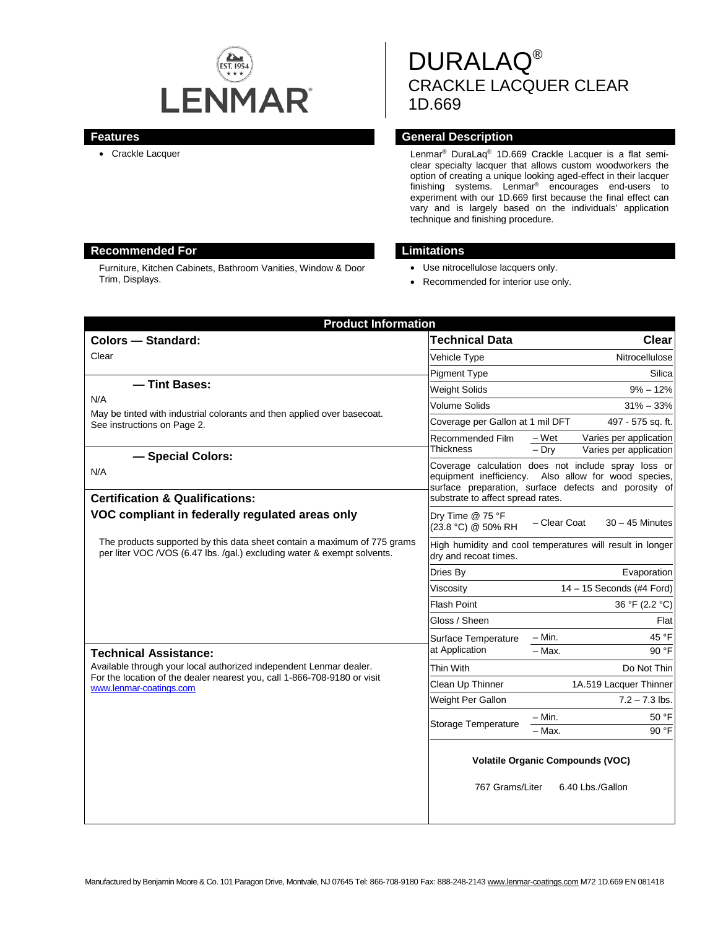

# DURALAQ® CRACKLE LACQUER CLEAR 1D.669

#### **Features General Description**

• Crackle Lacquer **Lenmar®** DuraLaq<sup>®</sup> 1D.669 Crackle Lacquer is a flat semiclear specialty lacquer that allows custom woodworkers the option of creating a unique looking aged-effect in their lacquer finishing systems. Lenmar® encourages end-users to experiment with our 1D.669 first because the final effect can vary and is largely based on the individuals' application technique and finishing procedure.

# **Recommended For Limitations**

Furniture, Kitchen Cabinets, Bathroom Vanities, Window & Door Trim, Displays.

- Use nitrocellulose lacquers only.
- Recommended for interior use only.

| <b>Product Information</b>                                                                                                                                                |                                                                                    |                                                                                                                                                                     |
|---------------------------------------------------------------------------------------------------------------------------------------------------------------------------|------------------------------------------------------------------------------------|---------------------------------------------------------------------------------------------------------------------------------------------------------------------|
| <b>Colors - Standard:</b>                                                                                                                                                 | Technical Data                                                                     | Clear                                                                                                                                                               |
| Clear                                                                                                                                                                     | Vehicle Type                                                                       | Nitrocellulose                                                                                                                                                      |
|                                                                                                                                                                           | <b>Pigment Type</b>                                                                | Silica                                                                                                                                                              |
| - Tint Bases:<br>N/A<br>May be tinted with industrial colorants and then applied over basecoat.<br>See instructions on Page 2.                                            | <b>Weight Solids</b>                                                               | $9\% - 12\%$                                                                                                                                                        |
|                                                                                                                                                                           | Volume Solids                                                                      | $31\% - 33\%$                                                                                                                                                       |
|                                                                                                                                                                           | Coverage per Gallon at 1 mil DFT                                                   | 497 - 575 sq. ft.                                                                                                                                                   |
|                                                                                                                                                                           | Recommended Film<br>Thickness                                                      | – Wet<br>Varies per application<br>Varies per application<br>$-$ Dry                                                                                                |
| - Special Colors:                                                                                                                                                         |                                                                                    | Coverage calculation does not include spray loss or<br>equipment inefficiency. Also allow for wood species,<br>surface preparation, surface defects and porosity of |
| N/A                                                                                                                                                                       |                                                                                    |                                                                                                                                                                     |
| <b>Certification &amp; Qualifications:</b>                                                                                                                                | substrate to affect spread rates.                                                  |                                                                                                                                                                     |
| VOC compliant in federally regulated areas only                                                                                                                           | Dry Time @ 75 °F<br>(23.8 °C) @ 50% RH                                             | - Clear Coat<br>$30 - 45$ Minutes                                                                                                                                   |
| The products supported by this data sheet contain a maximum of 775 grams<br>per liter VOC /VOS (6.47 lbs. /qal.) excluding water & exempt solvents.                       | High humidity and cool temperatures will result in longer<br>dry and recoat times. |                                                                                                                                                                     |
|                                                                                                                                                                           | Dries By                                                                           | Evaporation                                                                                                                                                         |
|                                                                                                                                                                           | Viscositv                                                                          | $14 - 15$ Seconds (#4 Ford)                                                                                                                                         |
|                                                                                                                                                                           | <b>Flash Point</b>                                                                 | 36 °F (2.2 °C)                                                                                                                                                      |
|                                                                                                                                                                           | Gloss / Sheen                                                                      | Flat                                                                                                                                                                |
|                                                                                                                                                                           | Surface Temperature                                                                | $- Min.$<br>45 °F                                                                                                                                                   |
| <b>Technical Assistance:</b>                                                                                                                                              | at Application                                                                     | 90 °F<br>$-$ Max.                                                                                                                                                   |
| Available through your local authorized independent Lenmar dealer.<br>For the location of the dealer nearest you, call 1-866-708-9180 or visit<br>www.lenmar-coatings.com | Thin With                                                                          | Do Not Thin                                                                                                                                                         |
|                                                                                                                                                                           | Clean Up Thinner                                                                   | 1A.519 Lacquer Thinner                                                                                                                                              |
|                                                                                                                                                                           | Weight Per Gallon                                                                  | $7.2 - 7.3$ lbs.                                                                                                                                                    |
|                                                                                                                                                                           | Storage Temperature                                                                | $-$ Min.<br>50 °F                                                                                                                                                   |
|                                                                                                                                                                           |                                                                                    | 90 °F<br>- Max.                                                                                                                                                     |
|                                                                                                                                                                           | <b>Volatile Organic Compounds (VOC)</b>                                            |                                                                                                                                                                     |
|                                                                                                                                                                           | 767 Grams/Liter                                                                    | 6.40 Lbs./Gallon                                                                                                                                                    |